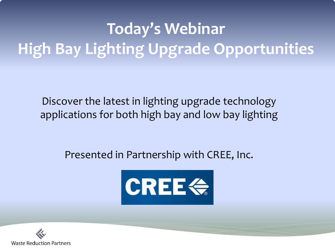## **Today's Webinar High Bay Lighting Upgrade Opportunities**

Discover the latest in lighting upgrade technology applications for both high bay and low bay lighting

#### Presented in Partnership with CREE, Inc.



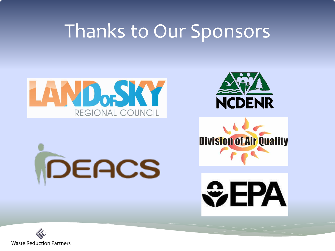## Thanks to Our Sponsors



DEACS





**SEPA** 

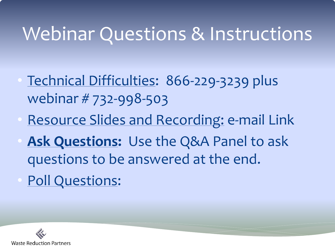## Webinar Questions & Instructions

- Technical Difficulties: 866-229-3239 plus webinar # 732-998-503
- Resource Slides and Recording: e-mail Link
- **Ask Questions:** Use the Q&A Panel to ask questions to be answered at the end.
- Poll Questions:

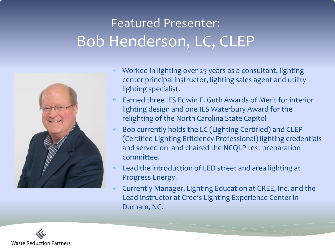#### Featured Presenter: Bob Henderson, LC, CLEP



- Worked in lighting over 25 years as a consultant, lighting center principal instructor, lighting sales agent and utility lighting specialist.
- Earned three IES Edwin F. Guth Awards of Merit for interior lighting design and one IES Waterbury Award for the relighting of the North Carolina State Capitol
- Bob currently holds the LC (Lighting Certified) and CLEP (Certified Lighting Efficiency Professional) lighting credentials and served on and chaired the NCQLP test preparation committee.
- Lead the introduction of LED street and area lighting at Progress Energy.
- Currently Manager, Lighting Education at CREE, Inc. and the Lead Instructor at Cree's Lighting Experience Center in Durham, NC.

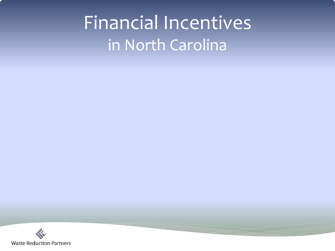## Financial Incentives in North Carolina

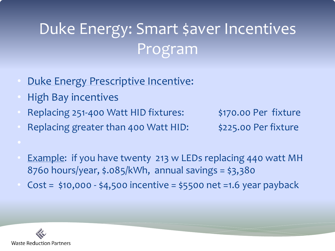## Duke Energy: Smart \$aver Incentives Program

- Duke Energy Prescriptive Incentive:
- High Bay incentives
- Replacing 251-400 Watt HID fixtures: \$170.00 Per fixture
- Replacing greater than 400 Watt HID: \$225.00 Per fixture

- **Example:** if you have twenty 213 w LEDs replacing 440 watt MH 8760 hours/year, \$.085/kWh, annual savings = \$3,380
- $Cost = $10,000 $4,500$  incentive = \$5500 net =1.6 year payback

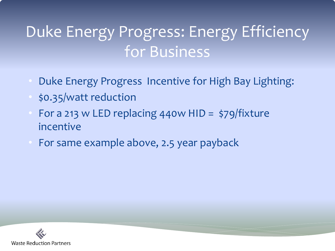### Duke Energy Progress: Energy Efficiency for Business

- Duke Energy Progress Incentive for High Bay Lighting:
- \$0.35/watt reduction
- For a 213 w LED replacing 440w HID =  $\frac{1}{2}$ 79/fixture incentive
- For same example above, 2.5 year payback

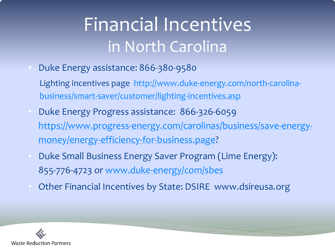# Financial Incentives in North Carolina

- Duke Energy assistance: 866-380-9580
	- Lighting incentives page [http://www.duke-energy.com/north-carolina](http://www.duke-energy.com/north-carolina-business/smart-saver/customer/lighting-incentives.asp)[business/smart-saver/customer/lighting-incentives.asp](http://www.duke-energy.com/north-carolina-business/smart-saver/customer/lighting-incentives.asp)
- Duke Energy Progress assistance: 866-326-6059 [https://www.progress-energy.com/carolinas/business/save-energy](https://www.progress-energy.com/carolinas/business/save-energy-money/energy-efficiency-for-business.page)[money/energy-efficiency-for-business.page](https://www.progress-energy.com/carolinas/business/save-energy-money/energy-efficiency-for-business.page)?
- Duke Small Business Energy Saver Program (Lime Energy): 855-776-4723 or [www.duke-energy/com/sbes](http://www.duke-energy/com/sbes)
- Other Financial Incentives by State: DSIRE www.dsireusa.org

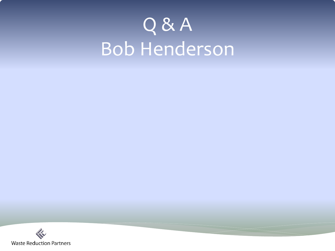# Q & A Bob Henderson